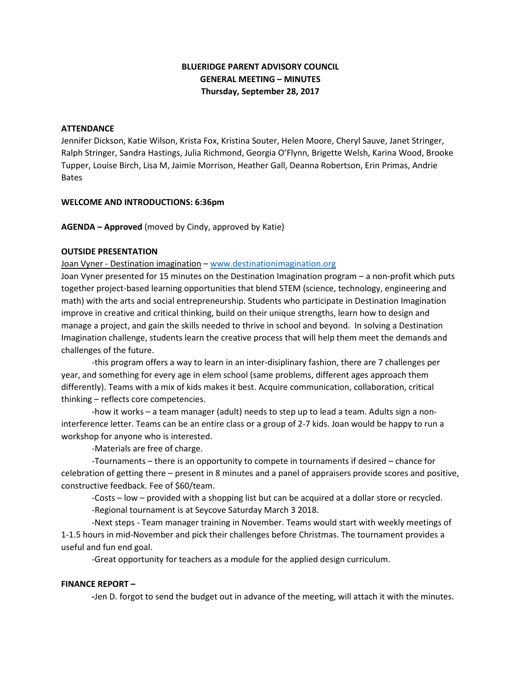## **BLUERIDGE PARENT ADVISORY COUNCIL GENERAL MEETING – MINUTES Thursday, September 28, 2017**

#### **ATTENDANCE**

Jennifer Dickson, Katie Wilson, Krista Fox, Kristina Souter, Helen Moore, Cheryl Sauve, Janet Stringer, Ralph Stringer, Sandra Hastings, Julia Richmond, Georgia O'Flynn, Brigette Welsh, Karina Wood, Brooke Tupper, Louise Birch, Lisa M, Jaimie Morrison, Heather Gall, Deanna Robertson, Erin Primas, Andrie Bates

#### **WELCOME AND INTRODUCTIONS: 6:36pm**

**AGENDA – Approved** (moved by Cindy, approved by Katie)

#### **OUTSIDE PRESENTATION**

Joan Vyner - Destination imagination – [www.destinationimagination.org](http://www.destinationimagination.org/)

Joan Vyner presented for 15 minutes on the Destination Imagination program – a non-profit which puts together project-based learning opportunities that blend STEM (science, technology, engineering and math) with the arts and social entrepreneurship. Students who participate in Destination Imagination improve in creative and critical thinking, build on their unique strengths, learn how to design and manage a project, and gain the skills needed to thrive in school and beyond. In solving a Destination Imagination challenge, students learn the creative process that will help them meet the demands and challenges of the future.

-this program offers a way to learn in an inter-disiplinary fashion, there are 7 challenges per year, and something for every age in elem school (same problems, different ages approach them differently). Teams with a mix of kids makes it best. Acquire communication, collaboration, critical thinking – reflects core competencies.

-how it works – a team manager (adult) needs to step up to lead a team. Adults sign a noninterference letter. Teams can be an entire class or a group of 2-7 kids. Joan would be happy to run a workshop for anyone who is interested.

-Materials are free of charge.

-Tournaments – there is an opportunity to compete in tournaments if desired – chance for celebration of getting there – present in 8 minutes and a panel of appraisers provide scores and positive, constructive feedback. Fee of \$60/team.

-Costs – low – provided with a shopping list but can be acquired at a dollar store or recycled.

-Regional tournament is at Seycove Saturday March 3 2018.

-Next steps - Team manager training in November. Teams would start with weekly meetings of 1-1.5 hours in mid-November and pick their challenges before Christmas. The tournament provides a useful and fun end goal.

-Great opportunity for teachers as a module for the applied design curriculum.

#### **FINANCE REPORT –**

**-**Jen D. forgot to send the budget out in advance of the meeting, will attach it with the minutes.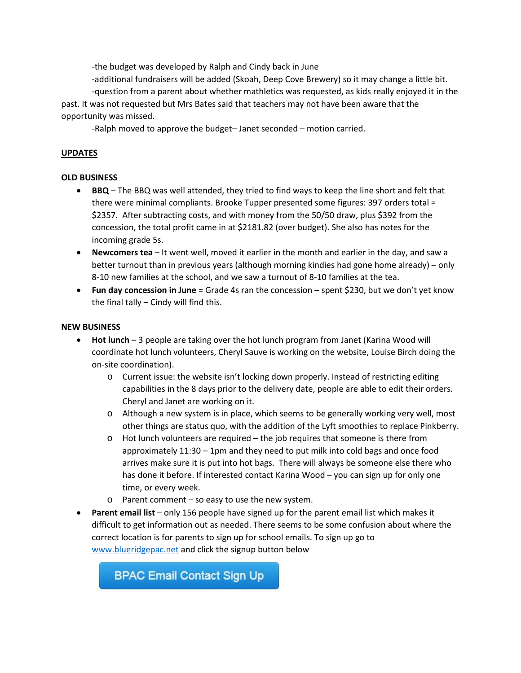-the budget was developed by Ralph and Cindy back in June

-additional fundraisers will be added (Skoah, Deep Cove Brewery) so it may change a little bit. -question from a parent about whether mathletics was requested, as kids really enjoyed it in the past. It was not requested but Mrs Bates said that teachers may not have been aware that the opportunity was missed.

-Ralph moved to approve the budget– Janet seconded – motion carried.

### **UPDATES**

### **OLD BUSINESS**

- **BBQ** The BBQ was well attended, they tried to find ways to keep the line short and felt that there were minimal compliants. Brooke Tupper presented some figures: 397 orders total = \$2357. After subtracting costs, and with money from the 50/50 draw, plus \$392 from the concession, the total profit came in at \$2181.82 (over budget). She also has notes for the incoming grade 5s.
- **Newcomers tea** It went well, moved it earlier in the month and earlier in the day, and saw a better turnout than in previous years (although morning kindies had gone home already) – only 8-10 new families at the school, and we saw a turnout of 8-10 families at the tea.
- **Fun day concession in June** = Grade 4s ran the concession spent \$230, but we don't yet know the final tally – Cindy will find this.

### **NEW BUSINESS**

- **Hot lunch** 3 people are taking over the hot lunch program from Janet (Karina Wood will coordinate hot lunch volunteers, Cheryl Sauve is working on the website, Louise Birch doing the on-site coordination).
	- o Current issue: the website isn't locking down properly. Instead of restricting editing capabilities in the 8 days prior to the delivery date, people are able to edit their orders. Cheryl and Janet are working on it.
	- o Although a new system is in place, which seems to be generally working very well, most other things are status quo, with the addition of the Lyft smoothies to replace Pinkberry.
	- o Hot lunch volunteers are required the job requires that someone is there from approximately 11:30 – 1pm and they need to put milk into cold bags and once food arrives make sure it is put into hot bags. There will always be someone else there who has done it before. If interested contact Karina Wood – you can sign up for only one time, or every week.
	- o Parent comment so easy to use the new system.
- **Parent email list** only 156 people have signed up for the parent email list which makes it difficult to get information out as needed. There seems to be some confusion about where the correct location is for parents to sign up for school emails. To sign up go to [www.blueridgepac.net](http://www.blueridgepac.net/) and click the signup button below

**BPAC Email Contact Sign Up**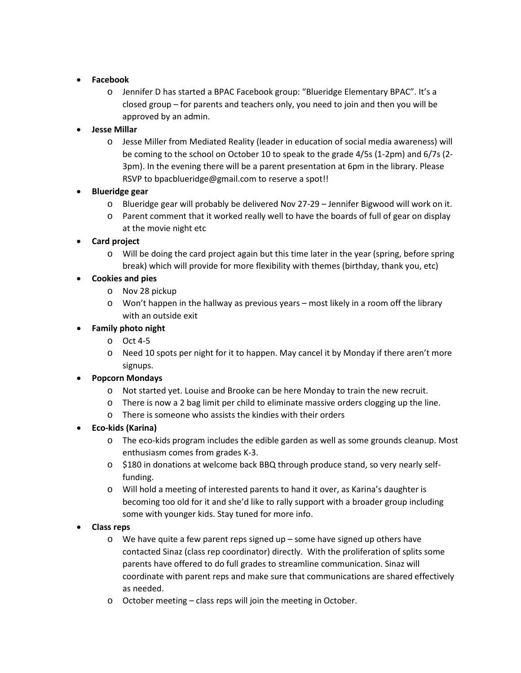## • **Facebook**

o Jennifer D has started a BPAC Facebook group: "Blueridge Elementary BPAC". It's a closed group – for parents and teachers only, you need to join and then you will be approved by an admin.

# • **Jesse Millar**

o Jesse Miller from Mediated Reality (leader in education of social media awareness) will be coming to the school on October 10 to speak to the grade 4/5s (1-2pm) and 6/7s (2- 3pm). In the evening there will be a parent presentation at 6pm in the library. Please RSVP to bpacblueridge@gmail.com to reserve a spot!!

# • **Blueridge gear**

- o Blueridge gear will probably be delivered Nov 27-29 Jennifer Bigwood will work on it.
- o Parent comment that it worked really well to have the boards of full of gear on display at the movie night etc

# • **Card project**

o Will be doing the card project again but this time later in the year (spring, before spring break) which will provide for more flexibility with themes (birthday, thank you, etc)

# • **Cookies and pies**

- o Nov 28 pickup
- o Won't happen in the hallway as previous years most likely in a room off the library with an outside exit

# • **Family photo night**

- o Oct 4-5
- o Need 10 spots per night for it to happen. May cancel it by Monday if there aren't more signups.

# • **Popcorn Mondays**

- o Not started yet. Louise and Brooke can be here Monday to train the new recruit.
- o There is now a 2 bag limit per child to eliminate massive orders clogging up the line.
- o There is someone who assists the kindies with their orders

# • **Eco-kids (Karina)**

- o The eco-kids program includes the edible garden as well as some grounds cleanup. Most enthusiasm comes from grades K-3.
- o \$180 in donations at welcome back BBQ through produce stand, so very nearly selffunding.
- o Will hold a meeting of interested parents to hand it over, as Karina's daughter is becoming too old for it and she'd like to rally support with a broader group including some with younger kids. Stay tuned for more info.

## • **Class reps**

- o We have quite a few parent reps signed up some have signed up others have contacted Sinaz (class rep coordinator) directly. With the proliferation of splits some parents have offered to do full grades to streamline communication. Sinaz will coordinate with parent reps and make sure that communications are shared effectively as needed.
- o October meeting class reps will join the meeting in October.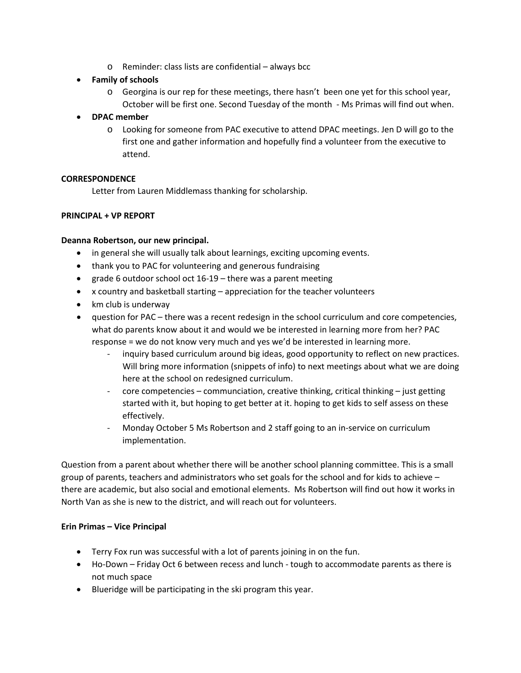- o Reminder: class lists are confidential always bcc
- **Family of schools**
	- o Georgina is our rep for these meetings, there hasn't been one yet for this school year, October will be first one. Second Tuesday of the month - Ms Primas will find out when.
- **DPAC member**
	- o Looking for someone from PAC executive to attend DPAC meetings. Jen D will go to the first one and gather information and hopefully find a volunteer from the executive to attend.

## **CORRESPONDENCE**

Letter from Lauren Middlemass thanking for scholarship.

### **PRINCIPAL + VP REPORT**

### **Deanna Robertson, our new principal.**

- in general she will usually talk about learnings, exciting upcoming events.
- thank you to PAC for volunteering and generous fundraising
- grade 6 outdoor school oct 16-19 there was a parent meeting
- x country and basketball starting appreciation for the teacher volunteers
- km club is underway
- question for PAC there was a recent redesign in the school curriculum and core competencies, what do parents know about it and would we be interested in learning more from her? PAC response = we do not know very much and yes we'd be interested in learning more.
	- inquiry based curriculum around big ideas, good opportunity to reflect on new practices. Will bring more information (snippets of info) to next meetings about what we are doing here at the school on redesigned curriculum.
	- core competencies communciation, creative thinking, critical thinking just getting started with it, but hoping to get better at it. hoping to get kids to self assess on these effectively.
	- Monday October 5 Ms Robertson and 2 staff going to an in-service on curriculum implementation.

Question from a parent about whether there will be another school planning committee. This is a small group of parents, teachers and administrators who set goals for the school and for kids to achieve – there are academic, but also social and emotional elements. Ms Robertson will find out how it works in North Van as she is new to the district, and will reach out for volunteers.

#### **Erin Primas – Vice Principal**

- Terry Fox run was successful with a lot of parents joining in on the fun.
- Ho-Down Friday Oct 6 between recess and lunch tough to accommodate parents as there is not much space
- Blueridge will be participating in the ski program this year.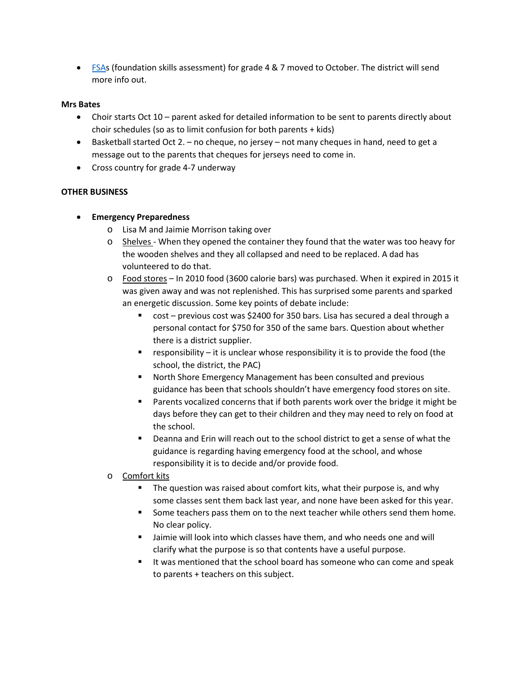• [FSAs](http://www2.gov.bc.ca/gov/content/education-training/administration/kindergarten-to-grade-12/assessment/foundation-skills-assessment) (foundation skills assessment) for grade 4 & 7 moved to October. The district will send more info out.

#### **Mrs Bates**

- Choir starts Oct 10 parent asked for detailed information to be sent to parents directly about choir schedules (so as to limit confusion for both parents + kids)
- Basketball started Oct 2. no cheque, no jersey not many cheques in hand, need to get a message out to the parents that cheques for jerseys need to come in.
- Cross country for grade 4-7 underway

## **OTHER BUSINESS**

## • **Emergency Preparedness**

- o Lisa M and Jaimie Morrison taking over
- $\circ$  Shelves When they opened the container they found that the water was too heavy for the wooden shelves and they all collapsed and need to be replaced. A dad has volunteered to do that.
- o Food stores In 2010 food (3600 calorie bars) was purchased. When it expired in 2015 it was given away and was not replenished. This has surprised some parents and sparked an energetic discussion. Some key points of debate include:
	- cost previous cost was \$2400 for 350 bars. Lisa has secured a deal through a personal contact for \$750 for 350 of the same bars. Question about whether there is a district supplier.
	- **•** responsibility  $-$  it is unclear whose responsibility it is to provide the food (the school, the district, the PAC)
	- North Shore Emergency Management has been consulted and previous guidance has been that schools shouldn't have emergency food stores on site.
	- Parents vocalized concerns that if both parents work over the bridge it might be days before they can get to their children and they may need to rely on food at the school.
	- Deanna and Erin will reach out to the school district to get a sense of what the guidance is regarding having emergency food at the school, and whose responsibility it is to decide and/or provide food.
- o Comfort kits
	- The question was raised about comfort kits, what their purpose is, and why some classes sent them back last year, and none have been asked for this year.
	- Some teachers pass them on to the next teacher while others send them home. No clear policy.
	- Jaimie will look into which classes have them, and who needs one and will clarify what the purpose is so that contents have a useful purpose.
	- It was mentioned that the school board has someone who can come and speak to parents + teachers on this subject.